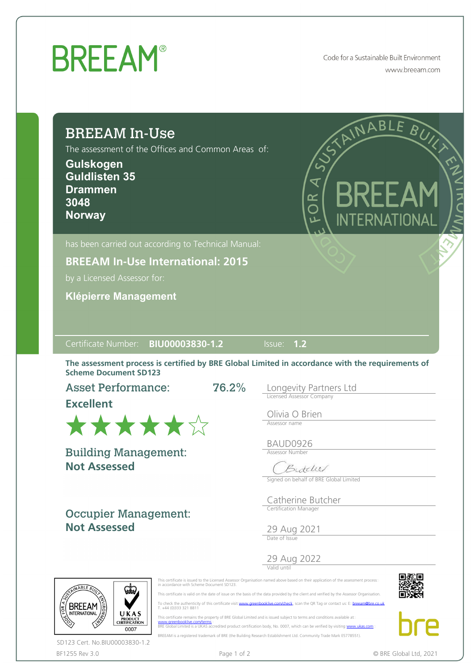## **BREEAM®**

Code for a Sustainable Built Environment www.breeam.com

| <b>BREEAM In-Use</b><br>The assessment of the Offices and Common Areas of:<br>Gulskogen<br><b>Guldlisten 35</b><br><b>Drammen</b><br>3048<br><b>Norway</b> | STAINABLE BUY<br>$\frac{1}{2}$<br>BREEAM<br>OR<br>O<br>INTERNATIONAL                             |
|------------------------------------------------------------------------------------------------------------------------------------------------------------|--------------------------------------------------------------------------------------------------|
| has been carried out according to Technical Manual:                                                                                                        |                                                                                                  |
| <b>BREEAM In-Use International: 2015</b>                                                                                                                   |                                                                                                  |
| by a Licensed Assessor for:                                                                                                                                |                                                                                                  |
| <b>Klépierre Management</b>                                                                                                                                |                                                                                                  |
|                                                                                                                                                            |                                                                                                  |
| Certificate Number: BIU00003830-1.2                                                                                                                        | Issue: 1.2                                                                                       |
| <b>Scheme Document SD123</b>                                                                                                                               | The assessment process is certified by BRE Global Limited in accordance with the requirements of |
| <b>Asset Performance:</b><br><b>Excellent</b>                                                                                                              | 76.2%<br>Longevity Partners Ltd<br>Licensed Assessor Company                                     |
| ******                                                                                                                                                     | Olivia O Brien<br>Assessor name<br>BAUD0926                                                      |
| <b>Not Assessed</b>                                                                                                                                        | <b>Assessor Number</b><br>Butchel<br>Signed on behalf of BRE Global Limited                      |
| <b>Building Management:</b><br><b>Occupier Management:</b>                                                                                                 | Catherine Butcher<br>Certification Manager                                                       |
| <b>Not Assessed</b>                                                                                                                                        | 29 Aug 2021                                                                                      |
|                                                                                                                                                            | 29 Aug 2022                                                                                      |

BF1255 Rev 3.0 **Page 1 of 2** Page 1 of 2 **C** BRE Global Ltd, 2021 SD123 Cert. No.BIU00003830-1.2